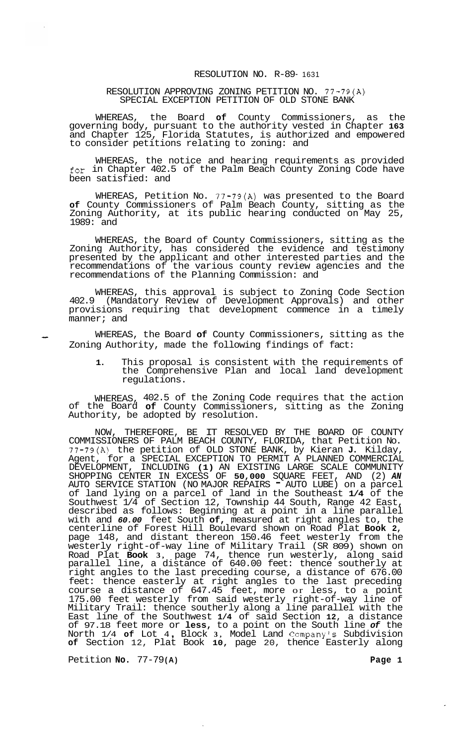## RESOLUTION NO. R-89- 1631

## RESOLUTION APPROVING ZONING PETITION NO. 77-79(A) SPECIAL EXCEPTION PETITION OF OLD STONE BANK

WHEREAS, the Board **of** County Commissioners, as the governing body, pursuant to the authority vested in Chapter **163**  and Chapter 125, Florida Statutes, is authorized and empowered to consider petitions relating to zoning: and

WHEREAS, the notice and hearing requirements as provided for in Chapter 402.5 of the Palm Beach County Zoning Code have been satisfied: and

WHEREAS, Petition No. 77-79(A) was presented to the Board **of** County Commissioners of Palm Beach County, sitting as the Zoning Authority, at its public hearing conducted on May 25, 1989: and

WHEREAS, the Board of County Commissioners, sitting as the Zoning Authority, has considered the evidence and testimony presented by the applicant and other interested parties and the recommendations of the various county review agencies and the recommendations of the Planning Commission: and

WHEREAS, this approval is subject to Zoning Code Section 402.9 (Mandatory Review of Development Approvals) and other provisions requiring that development commence in a timely manner; and

- WHEREAS, the Board **of** County Commissioners, sitting as the Zoning Authority, made the following findings of fact:

**1.** This proposal is consistent with the requirements of the Comprehensive Plan and local land development regulations.

WHEREAS, 402.5 of the Zoning Code requires that the action of the Board **of** County Commissioners, sitting as the Zoning Authority, be adopted  $b$ y resolution.

NOW, THEREFORE, BE IT RESOLVED BY THE BOARD OF COUNTY COMMISSIONERS OF PALM BEACH COUNTY, FLORIDA, that Petition No. 77-79(A) the petition of OLD STONE BANK, by Kieran **J.** Kilday, Agent, for a SPECIAL EXCEPTION TO PERMIT A PLANNED COMMERCIAL DEVELOPMENT, INCLUDING **(1)** AN EXISTING LARGE SCALE COMMUNITY SHOPPING CENTER IN EXCESS OF **50,000** SQUARE FEET, AND (2) *AN*  AUTO SERVICE STATION (NO MAJOR REPAIRS - AUTO LUBE) on a parcel of land lying on a parcel of land in the Southeast **1/4** of the Southwest 1/4 of Section 12, Township 44 South, Range 42 East, described as follows: Beginning at a point in a line parallel with and *60.00* feet South **of,** measured at right angles to, the centerline of Forest Hill Boulevard shown on Road Plat **Book 2,**  page 148, and distant thereon 150.46 feet westerly from the westerly right-of-way line of Military Trail (SR 809) shown on Road Plat **Book 3,** page 74, thence run westerly, along said parallel line, a distance of 640.00 feet: thence southerly at right angles to the last preceding course, a distance of 676.00 feet: thence easterly at right angles to the last preceding course a distance of  $647.45$  feet, more or less, to a point 175.00 feet westerly from said westerly right-of-way line of Military Trail: thence southerly along a line parallel with the East line of the Southwest **1/4** of said Section **12,** a distance of 97.18 feet more or **less,** to a point on the South line *of* the North 1/4 **of** Lot 4 , Block **3,** Model Land Company's Subdivision **of** Section 12, Plat Book **10,** page 20, thence Easterly along

Petition **No.** 77-79 **(A) Page 1**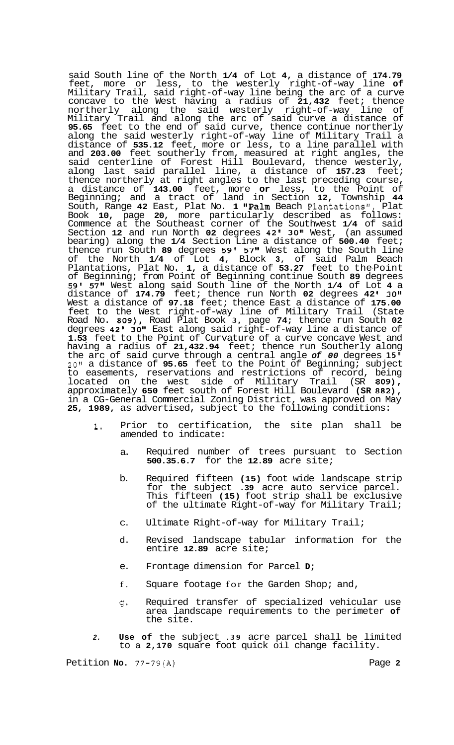said South line of the North **1/4** of Lot **4,** a distance of **174.79**  feet, more or less, to the westerly right-of-way line **of**  Military Trail, said right-of-way line being the arc of a curve concave to the West having a radius of **21,432** feet; thence northerly along the said westerly right-of-way line of Military Trail and along the arc of said curve a distance of **95.65** feet to the end of said curve, thence continue northerly along the said westerly right-of-way line of Military Trail a distance of **535.12** feet, more or less, to a line parallel with and **203.00** feet southerly from, measured at right angles, the said centerline of Forest Hill Boulevard, thence westerly, along last said parallel line, a distance of **157.23** feet; thence northerly at right angles to the last preceding course, a distance of **143.00** feet, more **or** less, to the Point of Beginning; and a tract of land in Section **12,** Township **44**  South, Range 42 East, Plat No. 1 "Palm Beach Plantations", Plat Book **10,** page **20,** more particularly described as follows: Commence at the Southeast corner of the Southwest **1/4** of said Section **12** and run North **02** degrees **42' 30"** West, (an assumed bearing) along the **1/4** Section Line a distance of **500.40** feet; thence run South **89** degrees **59' 57"** West along the South line of the North **1/4** of Lot **4,** Block **3,** of said Palm Beach Plantations, Plat No. **1,** a distance of **53.27** feet to the-Point of Beginning; from Point of Beginning continue South **89** degrees **59' 57"** West along said South line of the North **1/4** of Lot **4** a distance of **174.79** feet; thence run North **02** degrees **42 I 3011**  West a distance of **97.18** feet; thence East a distance of **175.00**  feet to the West right-of-way line of Military Trail (State Road No. **809),** Road Plat Book **3,** page **74;** thence run South **02**  degrees **42' 30"** East along said right-of-way line a distance of **1.53** feet to the Point of Curvature of a curve concave West and having a radius of **21,432.94** feet; thence run Southerly along the arc of said curve through a central angle *of 00* degrees **15' 20"** a distance of **95.65** feet to the Point of Beginning; subject to easements, reservations and restrictions of record, being located on the west side of Military Trail (SR **809),**  approximately **650** feet south of Forest Hill Boulevard **(SR 882),**  in a CG-General Commercial Zoning District, was approved on May **25, 1989,** as advertised, subject to the following conditions:

- **1.** Prior to certification, the site plan shall be amended to indicate:
	- a. Required number of trees pursuant to Section **500.35.6.7** for the **12.89** acre site;
	- b. Required fifteen **(15)** foot wide landscape strip for the subject **.39** acre auto service parcel. This fifteen **(15)** foot strip shall be exclusive of the ultimate Right-of-way for Military Trail;
	- C. Ultimate Right-of-way for Military Trail;
	- d. Revised landscape tabular information for the entire **12.89** acre site;
	- e. Frontage dimension for Parcel **D;**
	- f. Square footage for the Garden Shop; and,
	- $\sigma$ . Required transfer of specialized vehicular use area landscape requirements to the perimeter **of**  the site.
- *2.* **Use of** the subject **.39** acre parcel shall be limited to a **2,170** square foot quick oil change facility.

Petition **No.** *77-79(A)* Page **2**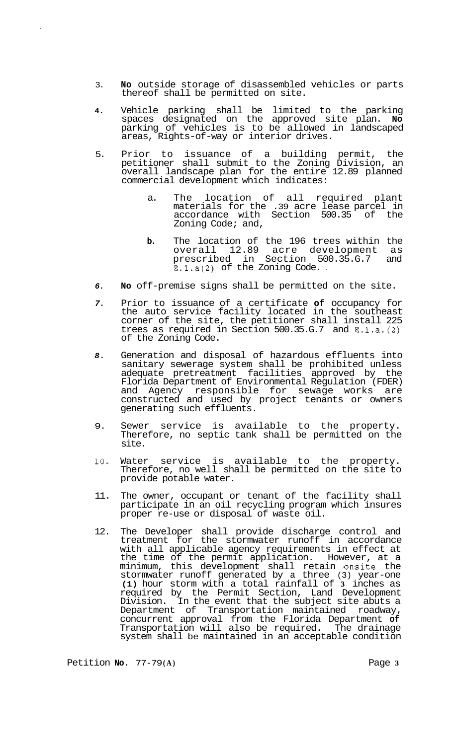- 3. **No** outside storage of disassembled vehicles or parts thereof shall be permitted on site.
- **4.** Vehicle parking shall be limited to the parking spaces designated on the approved site plan. **No**  parking of vehicles is to be allowed in landscaped areas, Rights-of-way or interior drives.
- 5. Prior to issuance of a building permit, the petitioner shall submit to the Zoning Division, an overall landscape plan for the entire 12.89 planned commercial development which indicates:
	- a. The location of all required plant materials for the .39 acre lease parcel in accordance with Section 500.35 of the Zoning Code; and,
	- **b.** The location of the 196 trees within the overall 12.89 acre development as prescribed in Section 500.35.G.7 and E.l.a(2) of the Zoning Code. .
- *6.* **No** off-premise signs shall be permitted on the site.
- *7.* Prior to issuance of a certificate **of** occupancy for the auto service facility located in the southeast corner of the site, the petitioner shall install 225 trees as required in Section 500.35.G.7 and  $E \, .1 \, .1 \, .$  (2) of the Zoning Code.
- *8.* Generation and disposal of hazardous effluents into sanitary sewerage system shall be prohibited unless adequate pretreatment facilities approved by the Florida Department of Environmental Regulation (FDER) and Agency responsible for sewage works are constructed and used by project tenants or owners generating such effluents.
- 9. Sewer service is available to the property. Therefore, no septic tank shall be permitted on the site.
- **10.** Water service is available to the property. Therefore, no well shall be permitted on the site to provide potable water.
- 11. The owner, occupant or tenant of the facility shall participate in an oil recycling program which insures proper re-use or disposal of waste oil.
- 12. The Developer shall provide discharge control and treatment for the stormwater runoff in accordance with all applicable agency requirements in effect at the time of the permit application. However, at a minimum, this development shall retain onsite the stormwater runoff generated by a three (3) year-one **(1)** hour storm with a total rainfall of **3** inches as required by the Permit Section, Land Development Division. In the event that the subject site abuts a Department of Transportation maintained roadway, concurrent approval from the Florida Department **of**  Transportation will also be required. The drainage system shall be maintained in an acceptable condition

Petition **No.**  $77-79(A)$  **Page 3**